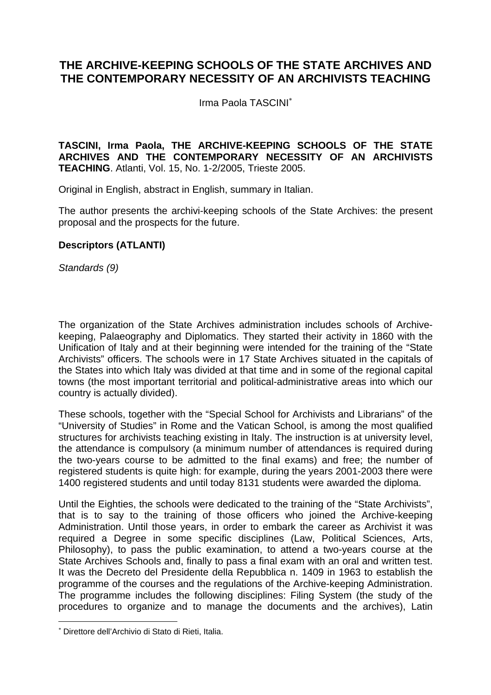## **THE ARCHIVE-KEEPING SCHOOLS OF THE STATE ARCHIVES AND THE CONTEMPORARY NECESSITY OF AN ARCHIVISTS TEACHING**

Irma Paola TASCINI<sup>∗</sup>

**TASCINI, Irma Paola, THE ARCHIVE-KEEPING SCHOOLS OF THE STATE ARCHIVES AND THE CONTEMPORARY NECESSITY OF AN ARCHIVISTS TEACHING**. Atlanti, Vol. 15, No. 1-2/2005, Trieste 2005.

Original in English, abstract in English, summary in Italian.

The author presents the archivi-keeping schools of the State Archives: the present proposal and the prospects for the future.

## **Descriptors (ATLANTI)**

*Standards (9)* 

The organization of the State Archives administration includes schools of Archivekeeping, Palaeography and Diplomatics. They started their activity in 1860 with the Unification of Italy and at their beginning were intended for the training of the "State Archivists" officers. The schools were in 17 State Archives situated in the capitals of the States into which Italy was divided at that time and in some of the regional capital towns (the most important territorial and political-administrative areas into which our country is actually divided).

These schools, together with the "Special School for Archivists and Librarians" of the "University of Studies" in Rome and the Vatican School, is among the most qualified structures for archivists teaching existing in Italy. The instruction is at university level, the attendance is compulsory (a minimum number of attendances is required during the two-years course to be admitted to the final exams) and free; the number of registered students is quite high: for example, during the years 2001-2003 there were 1400 registered students and until today 8131 students were awarded the diploma.

Until the Eighties, the schools were dedicated to the training of the "State Archivists", that is to say to the training of those officers who joined the Archive-keeping Administration. Until those years, in order to embark the career as Archivist it was required a Degree in some specific disciplines (Law, Political Sciences, Arts, Philosophy), to pass the public examination, to attend a two-years course at the State Archives Schools and, finally to pass a final exam with an oral and written test. It was the Decreto del Presidente della Repubblica n. 1409 in 1963 to establish the programme of the courses and the regulations of the Archive-keeping Administration. The programme includes the following disciplines: Filing System (the study of the procedures to organize and to manage the documents and the archives), Latin

 $\overline{a}$ 

<sup>∗</sup> Direttore dell'Archivio di Stato di Rieti, Italia.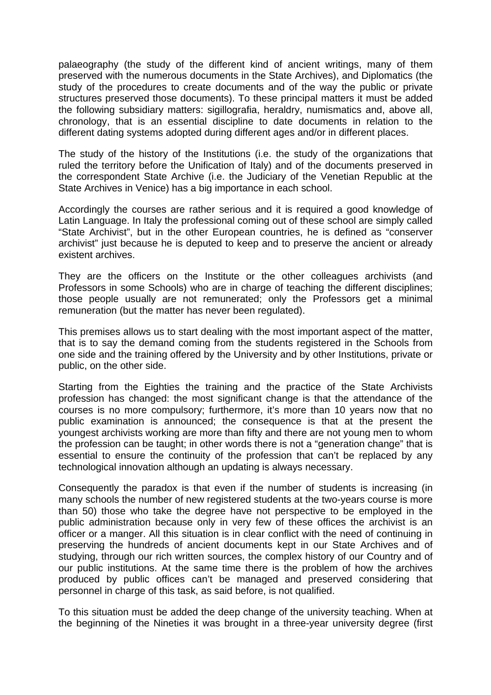palaeography (the study of the different kind of ancient writings, many of them preserved with the numerous documents in the State Archives), and Diplomatics (the study of the procedures to create documents and of the way the public or private structures preserved those documents). To these principal matters it must be added the following subsidiary matters: sigillografia, heraldry, numismatics and, above all, chronology, that is an essential discipline to date documents in relation to the different dating systems adopted during different ages and/or in different places.

The study of the history of the Institutions (i.e. the study of the organizations that ruled the territory before the Unification of Italy) and of the documents preserved in the correspondent State Archive (i.e. the Judiciary of the Venetian Republic at the State Archives in Venice) has a big importance in each school.

Accordingly the courses are rather serious and it is required a good knowledge of Latin Language. In Italy the professional coming out of these school are simply called "State Archivist", but in the other European countries, he is defined as "conserver archivist" just because he is deputed to keep and to preserve the ancient or already existent archives.

They are the officers on the Institute or the other colleagues archivists (and Professors in some Schools) who are in charge of teaching the different disciplines; those people usually are not remunerated; only the Professors get a minimal remuneration (but the matter has never been regulated).

This premises allows us to start dealing with the most important aspect of the matter, that is to say the demand coming from the students registered in the Schools from one side and the training offered by the University and by other Institutions, private or public, on the other side.

Starting from the Eighties the training and the practice of the State Archivists profession has changed: the most significant change is that the attendance of the courses is no more compulsory; furthermore, it's more than 10 years now that no public examination is announced; the consequence is that at the present the youngest archivists working are more than fifty and there are not young men to whom the profession can be taught; in other words there is not a "generation change" that is essential to ensure the continuity of the profession that can't be replaced by any technological innovation although an updating is always necessary.

Consequently the paradox is that even if the number of students is increasing (in many schools the number of new registered students at the two-years course is more than 50) those who take the degree have not perspective to be employed in the public administration because only in very few of these offices the archivist is an officer or a manger. All this situation is in clear conflict with the need of continuing in preserving the hundreds of ancient documents kept in our State Archives and of studying, through our rich written sources, the complex history of our Country and of our public institutions. At the same time there is the problem of how the archives produced by public offices can't be managed and preserved considering that personnel in charge of this task, as said before, is not qualified.

To this situation must be added the deep change of the university teaching. When at the beginning of the Nineties it was brought in a three-year university degree (first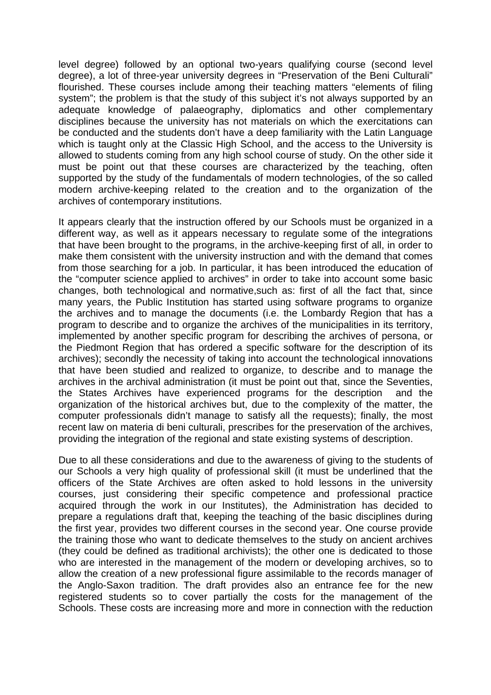level degree) followed by an optional two-years qualifying course (second level degree), a lot of three-year university degrees in "Preservation of the Beni Culturali" flourished. These courses include among their teaching matters "elements of filing system"; the problem is that the study of this subject it's not always supported by an adequate knowledge of palaeography, diplomatics and other complementary disciplines because the university has not materials on which the exercitations can be conducted and the students don't have a deep familiarity with the Latin Language which is taught only at the Classic High School, and the access to the University is allowed to students coming from any high school course of study. On the other side it must be point out that these courses are characterized by the teaching, often supported by the study of the fundamentals of modern technologies, of the so called modern archive-keeping related to the creation and to the organization of the archives of contemporary institutions.

It appears clearly that the instruction offered by our Schools must be organized in a different way, as well as it appears necessary to regulate some of the integrations that have been brought to the programs, in the archive-keeping first of all, in order to make them consistent with the university instruction and with the demand that comes from those searching for a job. In particular, it has been introduced the education of the "computer science applied to archives" in order to take into account some basic changes, both technological and normative,such as: first of all the fact that, since many years, the Public Institution has started using software programs to organize the archives and to manage the documents (i.e. the Lombardy Region that has a program to describe and to organize the archives of the municipalities in its territory, implemented by another specific program for describing the archives of persona, or the Piedmont Region that has ordered a specific software for the description of its archives); secondly the necessity of taking into account the technological innovations that have been studied and realized to organize, to describe and to manage the archives in the archival administration (it must be point out that, since the Seventies, the States Archives have experienced programs for the description and the organization of the historical archives but, due to the complexity of the matter, the computer professionals didn't manage to satisfy all the requests); finally, the most recent law on materia di beni culturali, prescribes for the preservation of the archives, providing the integration of the regional and state existing systems of description.

Due to all these considerations and due to the awareness of giving to the students of our Schools a very high quality of professional skill (it must be underlined that the officers of the State Archives are often asked to hold lessons in the university courses, just considering their specific competence and professional practice acquired through the work in our Institutes), the Administration has decided to prepare a regulations draft that, keeping the teaching of the basic disciplines during the first year, provides two different courses in the second year. One course provide the training those who want to dedicate themselves to the study on ancient archives (they could be defined as traditional archivists); the other one is dedicated to those who are interested in the management of the modern or developing archives, so to allow the creation of a new professional figure assimilable to the records manager of the Anglo-Saxon tradition. The draft provides also an entrance fee for the new registered students so to cover partially the costs for the management of the Schools. These costs are increasing more and more in connection with the reduction